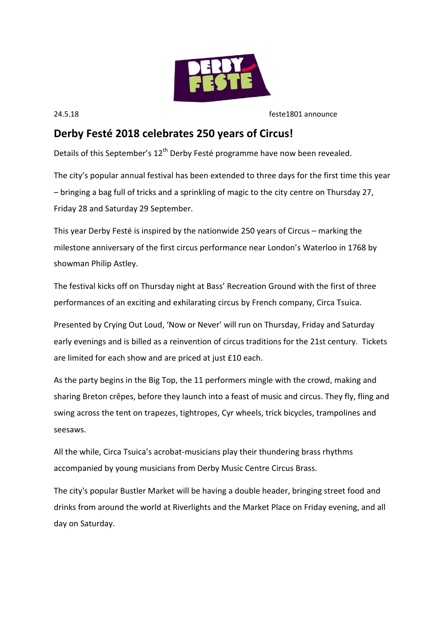

24.5.18 feste1801 announce

# **Derby Festé 2018 celebrates 250 years of Circus!**

Details of this September's 12<sup>th</sup> Derby Festé programme have now been revealed.

The city's popular annual festival has been extended to three days for the first time this year – bringing a bag full of tricks and a sprinkling of magic to the city centre on Thursday 27, Friday 28 and Saturday 29 September.

This year Derby Festé is inspired by the nationwide 250 years of Circus – marking the milestone anniversary of the first circus performance near London's Waterloo in 1768 by showman Philip Astley.

The festival kicks off on Thursday night at Bass' Recreation Ground with the first of three performances of an exciting and exhilarating circus by French company, Circa Tsuica.

Presented by Crying Out Loud, 'Now or Never' will run on Thursday, Friday and Saturday early evenings and is billed as a reinvention of circus traditions for the 21st century. Tickets are limited for each show and are priced at just £10 each.

As the party begins in the Big Top, the 11 performers mingle with the crowd, making and sharing Breton crêpes, before they launch into a feast of music and circus. They fly, fling and swing across the tent on trapezes, tightropes, Cyr wheels, trick bicycles, trampolines and seesaws.

All the while, Circa Tsuica's acrobat-musicians play their thundering brass rhythms accompanied by young musicians from Derby Music Centre Circus Brass.

The city's popular Bustler Market will be having a double header, bringing street food and drinks from around the world at Riverlights and the Market Place on Friday evening, and all day on Saturday.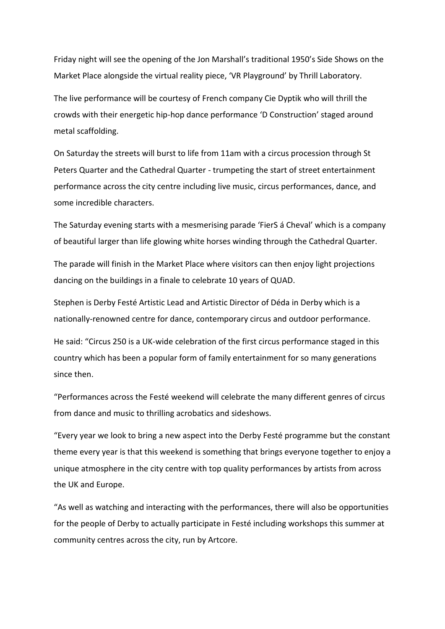Friday night will see the opening of the Jon Marshall's traditional 1950's Side Shows on the Market Place alongside the virtual reality piece, 'VR Playground' by Thrill Laboratory.

The live performance will be courtesy of French company Cie Dyptik who will thrill the crowds with their energetic hip-hop dance performance 'D Construction' staged around metal scaffolding.

On Saturday the streets will burst to life from 11am with a circus procession through St Peters Quarter and the Cathedral Quarter - trumpeting the start of street entertainment performance across the city centre including live music, circus performances, dance, and some incredible characters.

The Saturday evening starts with a mesmerising parade 'FierS á Cheval' which is a company of beautiful larger than life glowing white horses winding through the Cathedral Quarter.

The parade will finish in the Market Place where visitors can then enjoy light projections dancing on the buildings in a finale to celebrate 10 years of QUAD.

Stephen is Derby Festé Artistic Lead and Artistic Director of Déda in Derby which is a nationally-renowned centre for dance, contemporary circus and outdoor performance.

He said: "Circus 250 is a UK-wide celebration of the first circus performance staged in this country which has been a popular form of family entertainment for so many generations since then.

"Performances across the Festé weekend will celebrate the many different genres of circus from dance and music to thrilling acrobatics and sideshows.

"Every year we look to bring a new aspect into the Derby Festé programme but the constant theme every year is that this weekend is something that brings everyone together to enjoy a unique atmosphere in the city centre with top quality performances by artists from across the UK and Europe.

"As well as watching and interacting with the performances, there will also be opportunities for the people of Derby to actually participate in Festé including workshops this summer at community centres across the city, run by Artcore.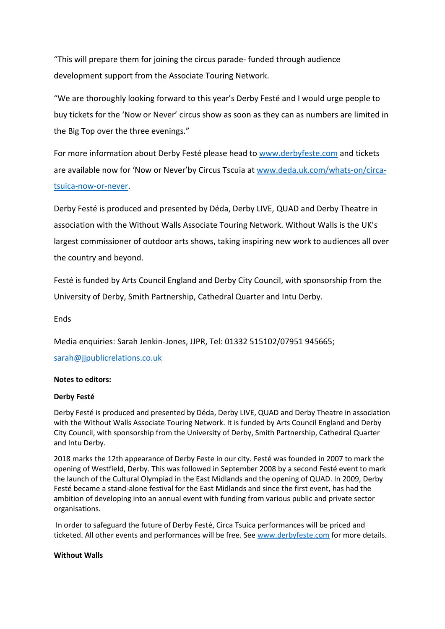"This will prepare them for joining the circus parade- funded through audience development support from the Associate Touring Network.

"We are thoroughly looking forward to this year's Derby Festé and I would urge people to buy tickets for the 'Now or Never' circus show as soon as they can as numbers are limited in the Big Top over the three evenings."

For more information about Derby Festé please head t[o www.derbyfeste.com](http://www.derbyfeste.com/) and tickets are available now for 'Now or Never'by Circus Tscuia at [www.deda.uk.com/whats-on/circa](http://www.deda.uk.com/whats-on/circa-tsuica-now-or-never)[tsuica-now-or-never.](http://www.deda.uk.com/whats-on/circa-tsuica-now-or-never)

Derby Festé is produced and presented by Déda, Derby LIVE, QUAD and Derby Theatre in association with the Without Walls Associate Touring Network. Without Walls is the UK's largest commissioner of outdoor arts shows, taking inspiring new work to audiences all over the country and beyond.

Festé is funded by Arts Council England and Derby City Council, with sponsorship from the University of Derby, Smith Partnership, Cathedral Quarter and Intu Derby.

**Ends** 

Media enquiries: Sarah Jenkin-Jones, JJPR, Tel: 01332 515102/07951 945665;

### [sarah@jjpublicrelations.co.uk](mailto:sarah@jjpublicrelations.co.uk)

### **Notes to editors:**

### **Derby Festé**

Derby Festé is produced and presented by Déda, Derby LIVE, QUAD and Derby Theatre in association with the Without Walls Associate Touring Network. It is funded by Arts Council England and Derby City Council, with sponsorship from the University of Derby, Smith Partnership, Cathedral Quarter and Intu Derby.

2018 marks the 12th appearance of Derby Feste in our city. Festé was founded in 2007 to mark the opening of Westfield, Derby. This was followed in September 2008 by a second Festé event to mark the launch of the Cultural Olympiad in the East Midlands and the opening of QUAD. In 2009, Derby Festé became a stand-alone festival for the East Midlands and since the first event, has had the ambition of developing into an annual event with funding from various public and private sector organisations.

In order to safeguard the future of Derby Festé, Circa Tsuica performances will be priced and ticketed. All other events and performances will be free. See [www.derbyfeste.com](http://www.derbyfeste.com/) for more details.

#### **Without Walls**